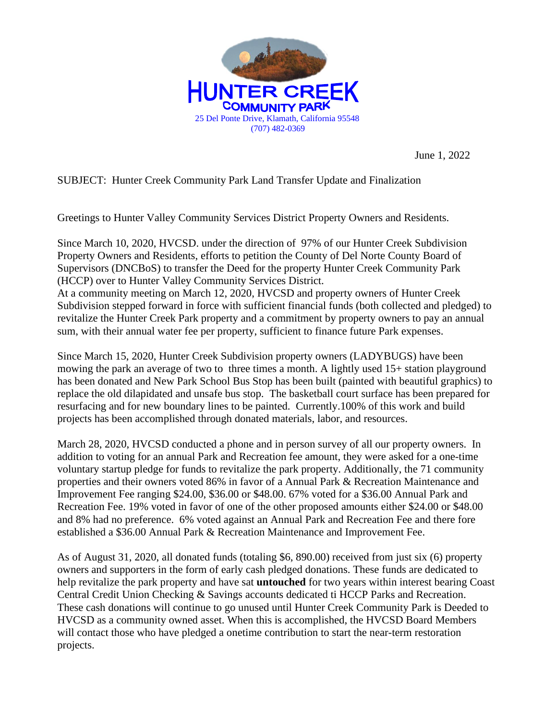

June 1, 2022

SUBJECT: Hunter Creek Community Park Land Transfer Update and Finalization

Greetings to Hunter Valley Community Services District Property Owners and Residents.

Since March 10, 2020, HVCSD. under the direction of 97% of our Hunter Creek Subdivision Property Owners and Residents, efforts to petition the County of Del Norte County Board of Supervisors (DNCBoS) to transfer the Deed for the property Hunter Creek Community Park (HCCP) over to Hunter Valley Community Services District.

At a community meeting on March 12, 2020, HVCSD and property owners of Hunter Creek Subdivision stepped forward in force with sufficient financial funds (both collected and pledged) to revitalize the Hunter Creek Park property and a commitment by property owners to pay an annual sum, with their annual water fee per property, sufficient to finance future Park expenses.

Since March 15, 2020, Hunter Creek Subdivision property owners (LADYBUGS) have been mowing the park an average of two to three times a month. A lightly used 15+ station playground has been donated and New Park School Bus Stop has been built (painted with beautiful graphics) to replace the old dilapidated and unsafe bus stop. The basketball court surface has been prepared for resurfacing and for new boundary lines to be painted. Currently.100% of this work and build projects has been accomplished through donated materials, labor, and resources.

March 28, 2020, HVCSD conducted a phone and in person survey of all our property owners. In addition to voting for an annual Park and Recreation fee amount, they were asked for a one-time voluntary startup pledge for funds to revitalize the park property. Additionally, the 71 community properties and their owners voted 86% in favor of a Annual Park & Recreation Maintenance and Improvement Fee ranging \$24.00, \$36.00 or \$48.00. 67% voted for a \$36.00 Annual Park and Recreation Fee. 19% voted in favor of one of the other proposed amounts either \$24.00 or \$48.00 and 8% had no preference. 6% voted against an Annual Park and Recreation Fee and there fore established a \$36.00 Annual Park & Recreation Maintenance and Improvement Fee.

As of August 31, 2020, all donated funds (totaling \$6, 890.00) received from just six (6) property owners and supporters in the form of early cash pledged donations. These funds are dedicated to help revitalize the park property and have sat **untouched** for two years within interest bearing Coast Central Credit Union Checking & Savings accounts dedicated ti HCCP Parks and Recreation. These cash donations will continue to go unused until Hunter Creek Community Park is Deeded to HVCSD as a community owned asset. When this is accomplished, the HVCSD Board Members will contact those who have pledged a onetime contribution to start the near-term restoration projects.